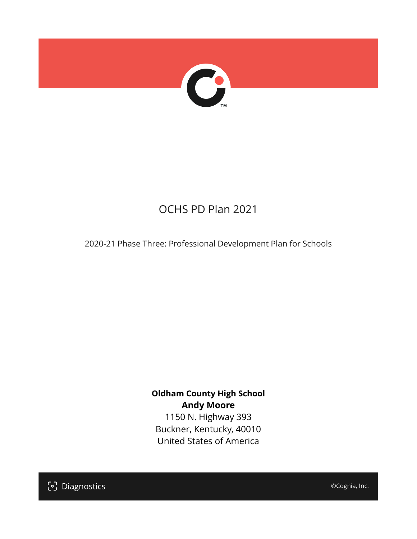

## OCHS PD Plan 2021

2020-21 Phase Three: Professional Development Plan for Schools

#### **Oldham County High School Andy Moore**

1150 N. Highway 393 Buckner, Kentucky, 40010 United States of America

[၁] Diagnostics

©Cognia, Inc.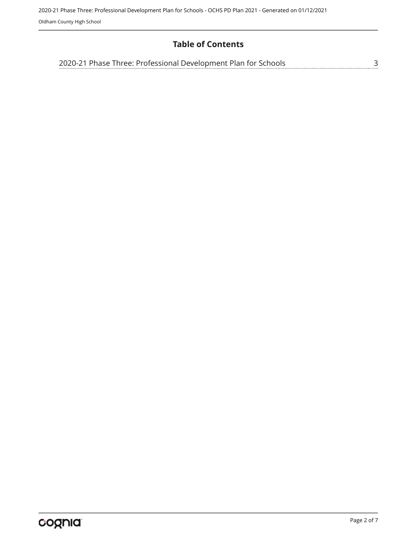#### **Table of Contents**

| 2020-21 Phase Three: Professional Development Plan for Schools |  |
|----------------------------------------------------------------|--|
|                                                                |  |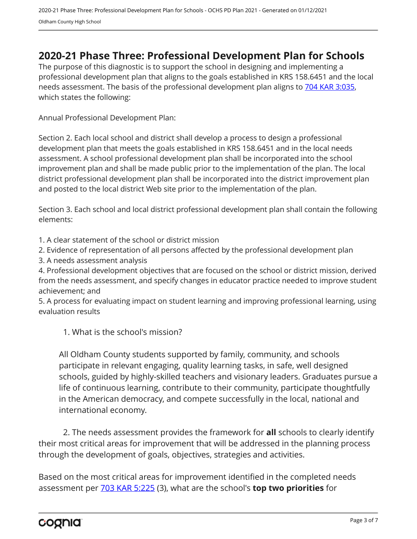### <span id="page-2-0"></span>**2020-21 Phase Three: Professional Development Plan for Schools**

The purpose of this diagnostic is to support the school in designing and implementing a professional development plan that aligns to the goals established in KRS 158.6451 and the local needs assessment. The basis of the professional development plan aligns to [704 KAR 3:035,](https://apps.legislature.ky.gov/Law/kar/704/003/035.pdf) which states the following:

Annual Professional Development Plan:

Section 2. Each local school and district shall develop a process to design a professional development plan that meets the goals established in KRS 158.6451 and in the local needs assessment. A school professional development plan shall be incorporated into the school improvement plan and shall be made public prior to the implementation of the plan. The local district professional development plan shall be incorporated into the district improvement plan and posted to the local district Web site prior to the implementation of the plan.

Section 3. Each school and local district professional development plan shall contain the following elements:

1. A clear statement of the school or district mission

2. Evidence of representation of all persons affected by the professional development plan

3. A needs assessment analysis

4. Professional development objectives that are focused on the school or district mission, derived from the needs assessment, and specify changes in educator practice needed to improve student achievement; and

5. A process for evaluating impact on student learning and improving professional learning, using evaluation results

1. What is the school's mission?

All Oldham County students supported by family, community, and schools participate in relevant engaging, quality learning tasks, in safe, well designed schools, guided by highly-skilled teachers and visionary leaders. Graduates pursue a life of continuous learning, contribute to their community, participate thoughtfully in the American democracy, and compete successfully in the local, national and international economy.

2. The needs assessment provides the framework for **all** schools to clearly identify their most critical areas for improvement that will be addressed in the planning process through the development of goals, objectives, strategies and activities.

Based on the most critical areas for improvement identified in the completed needs assessment per [703 KAR 5:225](https://apps.legislature.ky.gov/law/kar/703/005/225.pdf) (3), what are the school's **top two priorities** for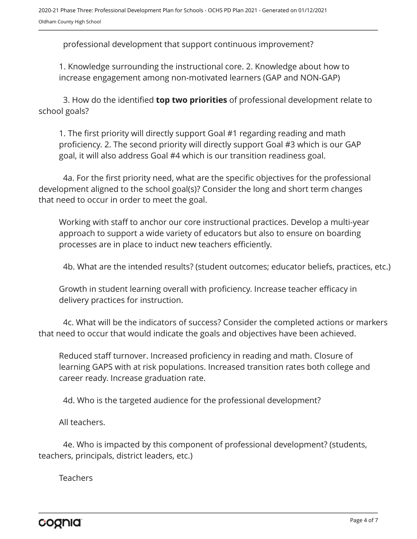professional development that support continuous improvement?

1. Knowledge surrounding the instructional core. 2. Knowledge about how to increase engagement among non-motivated learners (GAP and NON-GAP)

3. How do the identified **top two priorities** of professional development relate to school goals?

1. The first priority will directly support Goal #1 regarding reading and math proficiency. 2. The second priority will directly support Goal #3 which is our GAP goal, it will also address Goal #4 which is our transition readiness goal.

4a. For the first priority need, what are the specific objectives for the professional development aligned to the school goal(s)? Consider the long and short term changes that need to occur in order to meet the goal.

Working with staff to anchor our core instructional practices. Develop a multi-year approach to support a wide variety of educators but also to ensure on boarding processes are in place to induct new teachers efficiently.

4b. What are the intended results? (student outcomes; educator beliefs, practices, etc.)

Growth in student learning overall with proficiency. Increase teacher efficacy in delivery practices for instruction.

4c. What will be the indicators of success? Consider the completed actions or markers that need to occur that would indicate the goals and objectives have been achieved.

Reduced staff turnover. Increased proficiency in reading and math. Closure of learning GAPS with at risk populations. Increased transition rates both college and career ready. Increase graduation rate.

4d. Who is the targeted audience for the professional development?

All teachers.

4e. Who is impacted by this component of professional development? (students, teachers, principals, district leaders, etc.)

**Teachers**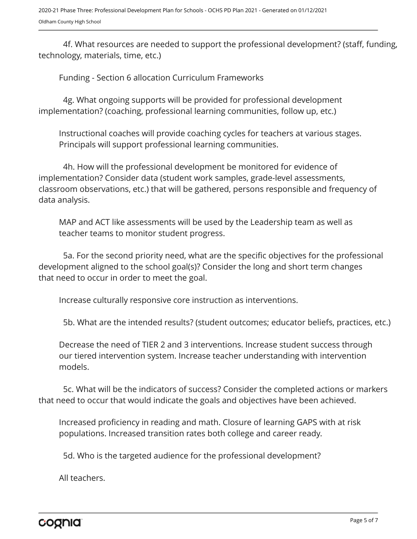4f. What resources are needed to support the professional development? (staff, funding, technology, materials, time, etc.)

Funding - Section 6 allocation Curriculum Frameworks

4g. What ongoing supports will be provided for professional development implementation? (coaching, professional learning communities, follow up, etc.)

Instructional coaches will provide coaching cycles for teachers at various stages. Principals will support professional learning communities.

4h. How will the professional development be monitored for evidence of implementation? Consider data (student work samples, grade-level assessments, classroom observations, etc.) that will be gathered, persons responsible and frequency of data analysis.

MAP and ACT like assessments will be used by the Leadership team as well as teacher teams to monitor student progress.

5a. For the second priority need, what are the specific objectives for the professional development aligned to the school goal(s)? Consider the long and short term changes that need to occur in order to meet the goal.

Increase culturally responsive core instruction as interventions.

5b. What are the intended results? (student outcomes; educator beliefs, practices, etc.)

Decrease the need of TIER 2 and 3 interventions. Increase student success through our tiered intervention system. Increase teacher understanding with intervention models.

5c. What will be the indicators of success? Consider the completed actions or markers that need to occur that would indicate the goals and objectives have been achieved.

Increased proficiency in reading and math. Closure of learning GAPS with at risk populations. Increased transition rates both college and career ready.

5d. Who is the targeted audience for the professional development?

All teachers.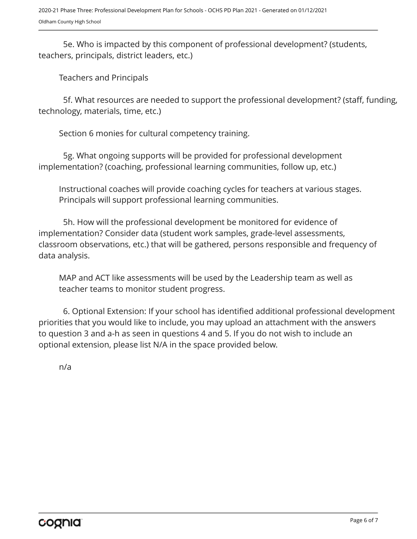5e. Who is impacted by this component of professional development? (students, teachers, principals, district leaders, etc.)

Teachers and Principals

5f. What resources are needed to support the professional development? (staff, funding, technology, materials, time, etc.)

Section 6 monies for cultural competency training.

5g. What ongoing supports will be provided for professional development implementation? (coaching, professional learning communities, follow up, etc.)

Instructional coaches will provide coaching cycles for teachers at various stages. Principals will support professional learning communities.

5h. How will the professional development be monitored for evidence of implementation? Consider data (student work samples, grade-level assessments, classroom observations, etc.) that will be gathered, persons responsible and frequency of data analysis.

MAP and ACT like assessments will be used by the Leadership team as well as teacher teams to monitor student progress.

6. Optional Extension: If your school has identified additional professional development priorities that you would like to include, you may upload an attachment with the answers to question 3 and a-h as seen in questions 4 and 5. If you do not wish to include an optional extension, please list N/A in the space provided below.

n/a